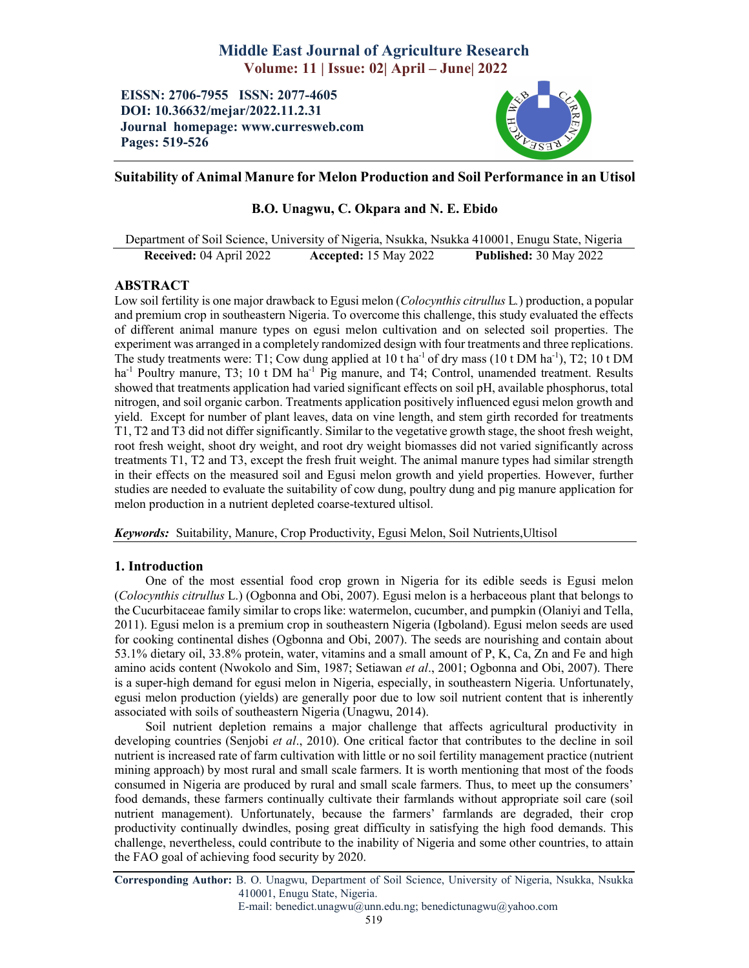# Middle East Journal of Agriculture Research Volume: 11 | Issue: 02| April – June| 2022

EISSN: 2706-7955 ISSN: 2077-4605 DOI: 10.36632/mejar/2022.11.2.31 Journal homepage: www.curresweb.com Pages: 519-526



## Suitability of Animal Manure for Melon Production and Soil Performance in an Utisol

# B.O. Unagwu, C. Okpara and N. E. Ebido

Department of Soil Science, University of Nigeria, Nsukka, Nsukka 410001, Enugu State, Nigeria Received: 04 April 2022 Accepted: 15 May 2022 Published: 30 May 2022

## ABSTRACT

Low soil fertility is one major drawback to Egusi melon (*Colocynthis citrullus* L*.*) production, a popular and premium crop in southeastern Nigeria. To overcome this challenge, this study evaluated the effects of different animal manure types on egusi melon cultivation and on selected soil properties. The experiment was arranged in a completely randomized design with four treatments and three replications. The study treatments were: T1; Cow dung applied at  $10$  t ha<sup>-1</sup> of dry mass ( $10$  t DM ha<sup>-1</sup>), T2;  $10$  t DM ha<sup>-1</sup> Poultry manure, T3; 10 t DM ha<sup>-1</sup> Pig manure, and T4; Control, unamended treatment. Results showed that treatments application had varied significant effects on soil pH, available phosphorus, total nitrogen, and soil organic carbon. Treatments application positively influenced egusi melon growth and yield. Except for number of plant leaves, data on vine length, and stem girth recorded for treatments T1, T2 and T3 did not differ significantly. Similar to the vegetative growth stage, the shoot fresh weight, root fresh weight, shoot dry weight, and root dry weight biomasses did not varied significantly across treatments T1, T2 and T3, except the fresh fruit weight. The animal manure types had similar strength in their effects on the measured soil and Egusi melon growth and yield properties. However, further studies are needed to evaluate the suitability of cow dung, poultry dung and pig manure application for melon production in a nutrient depleted coarse-textured ultisol.

*Keywords:* Suitability, Manure, Crop Productivity, Egusi Melon, Soil Nutrients,Ultisol

## 1. Introduction

One of the most essential food crop grown in Nigeria for its edible seeds is Egusi melon (*Colocynthis citrullus* L.) (Ogbonna and Obi, 2007). Egusi melon is a herbaceous plant that belongs to the Cucurbitaceae family similar to crops like: watermelon, cucumber, and pumpkin (Olaniyi and Tella, 2011). Egusi melon is a premium crop in southeastern Nigeria (Igboland). Egusi melon seeds are used for cooking continental dishes (Ogbonna and Obi, 2007). The seeds are nourishing and contain about 53.1% dietary oil, 33.8% protein, water, vitamins and a small amount of P, K, Ca, Zn and Fe and high amino acids content (Nwokolo and Sim, 1987; Setiawan *et al*., 2001; Ogbonna and Obi, 2007). There is a super-high demand for egusi melon in Nigeria, especially, in southeastern Nigeria. Unfortunately, egusi melon production (yields) are generally poor due to low soil nutrient content that is inherently associated with soils of southeastern Nigeria (Unagwu, 2014).

Soil nutrient depletion remains a major challenge that affects agricultural productivity in developing countries (Senjobi *et al*., 2010). One critical factor that contributes to the decline in soil nutrient is increased rate of farm cultivation with little or no soil fertility management practice (nutrient mining approach) by most rural and small scale farmers. It is worth mentioning that most of the foods consumed in Nigeria are produced by rural and small scale farmers. Thus, to meet up the consumers' food demands, these farmers continually cultivate their farmlands without appropriate soil care (soil nutrient management). Unfortunately, because the farmers' farmlands are degraded, their crop productivity continually dwindles, posing great difficulty in satisfying the high food demands. This challenge, nevertheless, could contribute to the inability of Nigeria and some other countries, to attain the FAO goal of achieving food security by 2020.

Corresponding Author: B. O. Unagwu, Department of Soil Science, University of Nigeria, Nsukka, Nsukka 410001, Enugu State, Nigeria.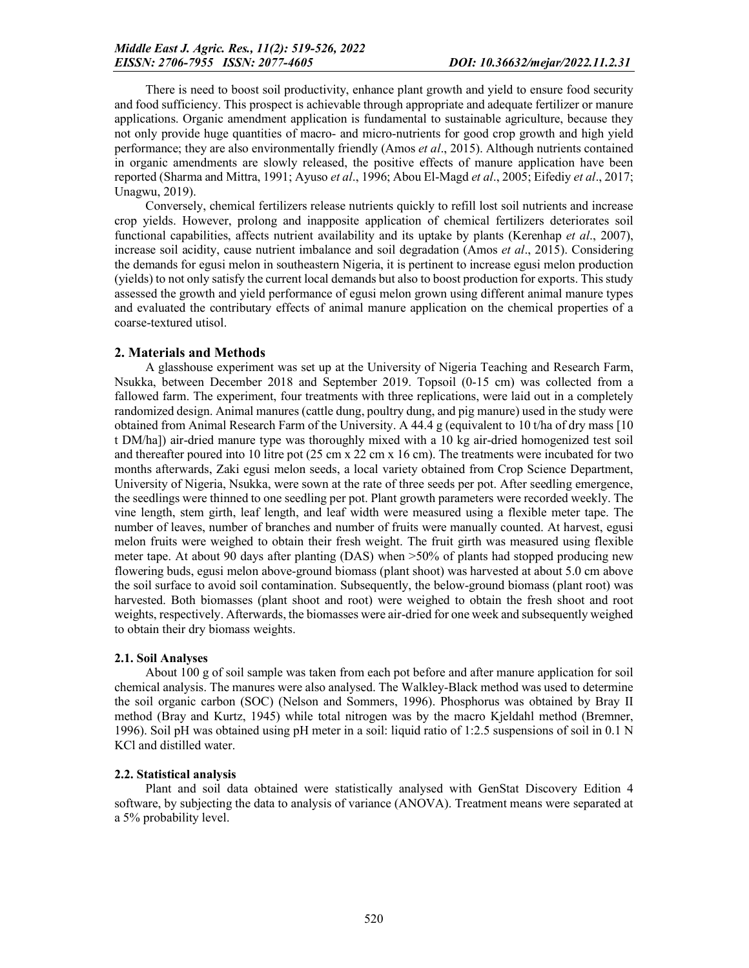There is need to boost soil productivity, enhance plant growth and yield to ensure food security and food sufficiency. This prospect is achievable through appropriate and adequate fertilizer or manure applications. Organic amendment application is fundamental to sustainable agriculture, because they not only provide huge quantities of macro- and micro-nutrients for good crop growth and high yield performance; they are also environmentally friendly (Amos *et al*., 2015). Although nutrients contained in organic amendments are slowly released, the positive effects of manure application have been reported (Sharma and Mittra, 1991; Ayuso *et al*., 1996; Abou El-Magd *et al*., 2005; Eifediy *et al*., 2017; Unagwu, 2019).

Conversely, chemical fertilizers release nutrients quickly to refill lost soil nutrients and increase crop yields. However, prolong and inapposite application of chemical fertilizers deteriorates soil functional capabilities, affects nutrient availability and its uptake by plants (Kerenhap *et al*., 2007), increase soil acidity, cause nutrient imbalance and soil degradation (Amos *et al*., 2015). Considering the demands for egusi melon in southeastern Nigeria, it is pertinent to increase egusi melon production (yields) to not only satisfy the current local demands but also to boost production for exports. This study assessed the growth and yield performance of egusi melon grown using different animal manure types and evaluated the contributary effects of animal manure application on the chemical properties of a coarse-textured utisol.

## 2. Materials and Methods

A glasshouse experiment was set up at the University of Nigeria Teaching and Research Farm, Nsukka, between December 2018 and September 2019. Topsoil (0-15 cm) was collected from a fallowed farm. The experiment, four treatments with three replications, were laid out in a completely randomized design. Animal manures (cattle dung, poultry dung, and pig manure) used in the study were obtained from Animal Research Farm of the University. A 44.4 g (equivalent to 10 t/ha of dry mass  $[10]$ t DM/ha]) air-dried manure type was thoroughly mixed with a 10 kg air-dried homogenized test soil and thereafter poured into 10 litre pot (25 cm x 22 cm x 16 cm). The treatments were incubated for two months afterwards, Zaki egusi melon seeds, a local variety obtained from Crop Science Department, University of Nigeria, Nsukka, were sown at the rate of three seeds per pot. After seedling emergence, the seedlings were thinned to one seedling per pot. Plant growth parameters were recorded weekly. The vine length, stem girth, leaf length, and leaf width were measured using a flexible meter tape. The number of leaves, number of branches and number of fruits were manually counted. At harvest, egusi melon fruits were weighed to obtain their fresh weight. The fruit girth was measured using flexible meter tape. At about 90 days after planting (DAS) when >50% of plants had stopped producing new flowering buds, egusi melon above-ground biomass (plant shoot) was harvested at about 5.0 cm above the soil surface to avoid soil contamination. Subsequently, the below-ground biomass (plant root) was harvested. Both biomasses (plant shoot and root) were weighed to obtain the fresh shoot and root weights, respectively. Afterwards, the biomasses were air-dried for one week and subsequently weighed to obtain their dry biomass weights.

#### 2.1. Soil Analyses

About 100 g of soil sample was taken from each pot before and after manure application for soil chemical analysis. The manures were also analysed. The Walkley-Black method was used to determine the soil organic carbon (SOC) (Nelson and Sommers, 1996). Phosphorus was obtained by Bray II method (Bray and Kurtz, 1945) while total nitrogen was by the macro Kjeldahl method (Bremner, 1996). Soil pH was obtained using pH meter in a soil: liquid ratio of 1:2.5 suspensions of soil in 0.1 N KCl and distilled water.

#### 2.2. Statistical analysis

Plant and soil data obtained were statistically analysed with GenStat Discovery Edition 4 software, by subjecting the data to analysis of variance (ANOVA). Treatment means were separated at a 5% probability level.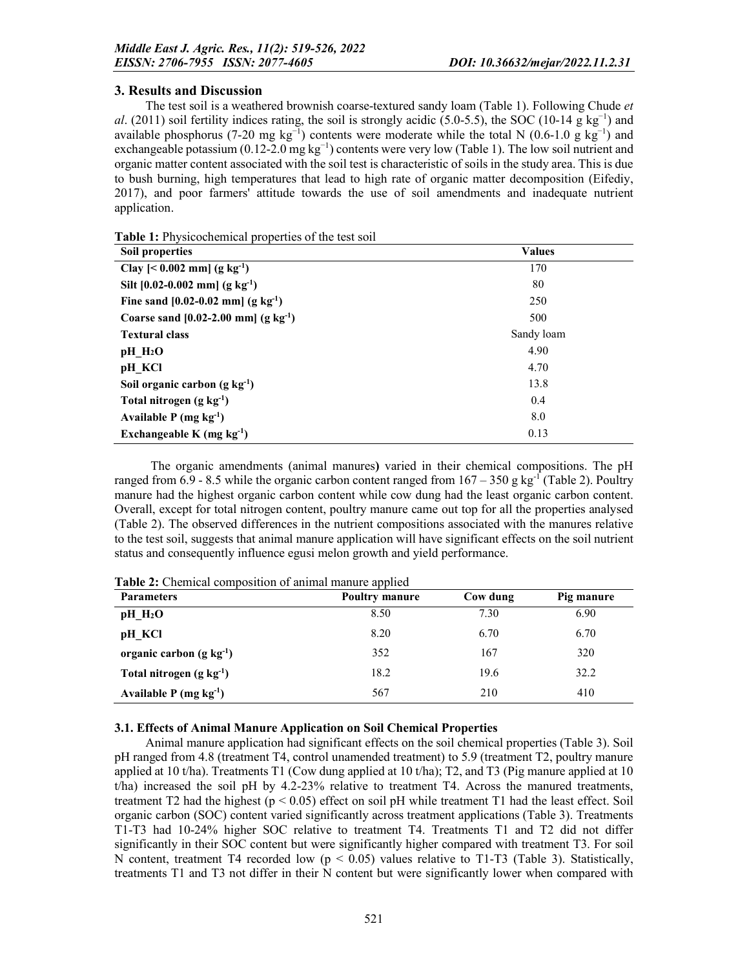### 3. Results and Discussion

The test soil is a weathered brownish coarse-textured sandy loam (Table 1). Following Chude *et al*. (2011) soil fertility indices rating, the soil is strongly acidic (5.0-5.5), the SOC (10-14 g kg<sup>-1</sup>) and available phosphorus (7-20 mg kg<sup>-1</sup>) contents were moderate while the total N (0.6-1.0 g kg<sup>-1</sup>) and exchangeable potassium (0.12-2.0 mg  $kg^{-1}$ ) contents were very low (Table 1). The low soil nutrient and organic matter content associated with the soil test is characteristic of soils in the study area. This is due to bush burning, high temperatures that lead to high rate of organic matter decomposition (Eifediy, 2017), and poor farmers' attitude towards the use of soil amendments and inadequate nutrient application.

| Soil properties                                   | <b>Values</b> |
|---------------------------------------------------|---------------|
| Clay $[< 0.002$ mm] $(g kg-1)$                    | 170           |
| Silt $[0.02-0.002$ mm] (g kg <sup>-1</sup> )      | 80            |
| Fine sand $[0.02-0.02$ mm $(g \text{ kg}^{-1})$   | 250           |
| Coarse sand $[0.02-2.00$ mm $(g \text{ kg}^{-1})$ | 500           |
| <b>Textural class</b>                             | Sandy loam    |
| $pH$ $H_2O$                                       | 4.90          |
| pH KCl                                            | 4.70          |
| Soil organic carbon $(g \ kg^{-1})$               | 13.8          |
| Total nitrogen $(g \ kg^{-1})$                    | 0.4           |
| Available $P$ (mg kg <sup>-1</sup> )              | 8.0           |
| Exchangeable K (mg $kg^{-1}$ )                    | 0.13          |

The organic amendments (animal manures) varied in their chemical compositions. The pH ranged from 6.9 - 8.5 while the organic carbon content ranged from  $167 - 350$  g kg<sup>-1</sup> (Table 2). Poultry manure had the highest organic carbon content while cow dung had the least organic carbon content. Overall, except for total nitrogen content, poultry manure came out top for all the properties analysed (Table 2). The observed differences in the nutrient compositions associated with the manures relative to the test soil, suggests that animal manure application will have significant effects on the soil nutrient status and consequently influence egusi melon growth and yield performance.

| <b>Parameters</b>                    | . .<br><b>Poultry manure</b> | Cow dung | Pig manure |
|--------------------------------------|------------------------------|----------|------------|
| $pH$ $H_2O$                          | 8.50                         | 7.30     | 6.90       |
| pH KCl                               | 8.20                         | 6.70     | 6.70       |
| organic carbon $(g \ kg^{-1})$       | 352                          | 167      | 320        |
| Total nitrogen $(g \ kg^{-1})$       | 18.2                         | 19.6     | 32.2       |
| Available $P$ (mg kg <sup>-1</sup> ) | 567                          | 210      | 410        |

Table 2: Chemical composition of animal manure applied

## 3.1. Effects of Animal Manure Application on Soil Chemical Properties

Animal manure application had significant effects on the soil chemical properties (Table 3). Soil pH ranged from 4.8 (treatment T4, control unamended treatment) to 5.9 (treatment T2, poultry manure applied at 10 t/ha). Treatments T1 (Cow dung applied at 10 t/ha); T2, and T3 (Pig manure applied at 10 t/ha) increased the soil pH by 4.2-23% relative to treatment T4. Across the manured treatments, treatment T2 had the highest  $(p < 0.05)$  effect on soil pH while treatment T1 had the least effect. Soil organic carbon (SOC) content varied significantly across treatment applications (Table 3). Treatments T1-T3 had 10-24% higher SOC relative to treatment T4. Treatments T1 and T2 did not differ significantly in their SOC content but were significantly higher compared with treatment T3. For soil N content, treatment T4 recorded low  $(p < 0.05)$  values relative to T1-T3 (Table 3). Statistically, treatments T1 and T3 not differ in their N content but were significantly lower when compared with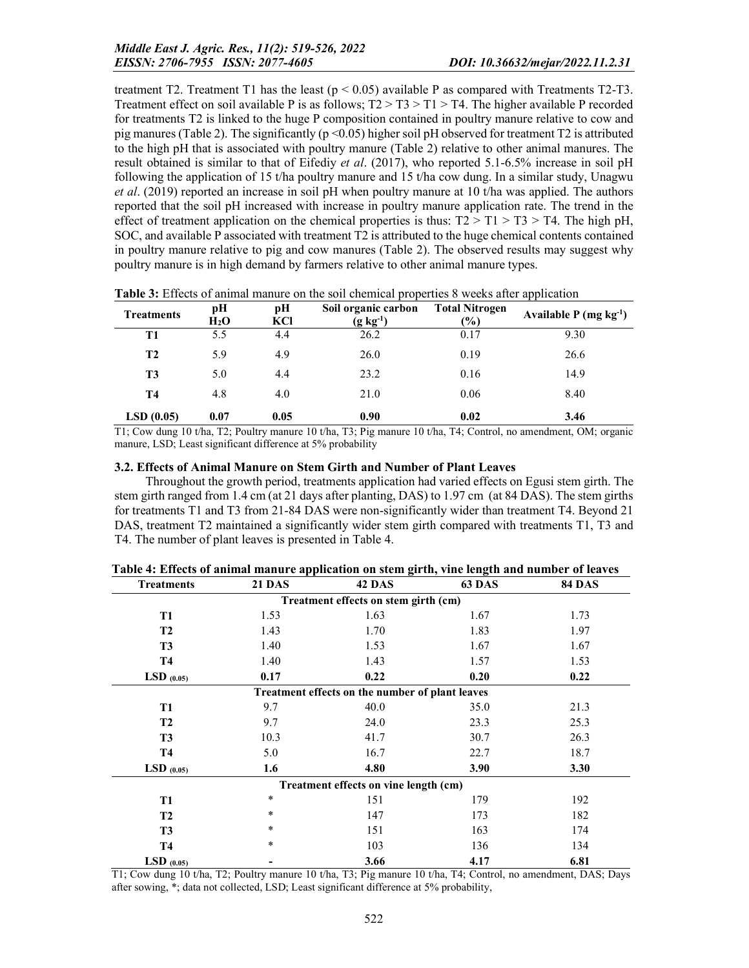treatment T2. Treatment T1 has the least  $(p < 0.05)$  available P as compared with Treatments T2-T3. Treatment effect on soil available P is as follows;  $T2 > T3 > T1 > T4$ . The higher available P recorded for treatments T2 is linked to the huge P composition contained in poultry manure relative to cow and pig manures (Table 2). The significantly ( $p \le 0.05$ ) higher soil pH observed for treatment T2 is attributed to the high pH that is associated with poultry manure (Table 2) relative to other animal manures. The result obtained is similar to that of Eifediy *et al*. (2017), who reported 5.1-6.5% increase in soil pH following the application of 15 t/ha poultry manure and 15 t/ha cow dung. In a similar study, Unagwu *et al*. (2019) reported an increase in soil pH when poultry manure at 10 t/ha was applied. The authors reported that the soil pH increased with increase in poultry manure application rate. The trend in the effect of treatment application on the chemical properties is thus:  $T2 > T1 > T3 > T4$ . The high pH, SOC, and available P associated with treatment T2 is attributed to the huge chemical contents contained in poultry manure relative to pig and cow manures (Table 2). The observed results may suggest why poultry manure is in high demand by farmers relative to other animal manure types.

| <b>Treatments</b> | рH<br>H <sub>2</sub> O | pН<br>KCI | Soil organic carbon<br>$(g \; kg^{-1})$ | <b>Total Nitrogen</b><br>$(\%)$ | Available $P(mg kg-1)$ |
|-------------------|------------------------|-----------|-----------------------------------------|---------------------------------|------------------------|
| T1                | 5.5                    | 4.4       | 26.2                                    | 0.17                            | 9.30                   |
| <b>T2</b>         | 5.9                    | 4.9       | 26.0                                    | 0.19                            | 26.6                   |
| T <sub>3</sub>    | 5.0                    | 4.4       | 23.2                                    | 0.16                            | 14.9                   |
| <b>T4</b>         | 4.8                    | 4.0       | 21.0                                    | 0.06                            | 8.40                   |
| LSD(0.05)         | 0.07                   | 0.05      | 0.90                                    | 0.02                            | 3.46                   |

Table 3: Effects of animal manure on the soil chemical properties 8 weeks after application

T1; Cow dung 10 t/ha, T2; Poultry manure 10 t/ha, T3; Pig manure 10 t/ha, T4; Control, no amendment, OM; organic manure, LSD; Least significant difference at 5% probability

#### 3.2. Effects of Animal Manure on Stem Girth and Number of Plant Leaves

Throughout the growth period, treatments application had varied effects on Egusi stem girth. The stem girth ranged from 1.4 cm (at 21 days after planting, DAS) to 1.97 cm (at 84 DAS). The stem girths for treatments T1 and T3 from 21-84 DAS were non-significantly wider than treatment T4. Beyond 21 DAS, treatment T2 maintained a significantly wider stem girth compared with treatments T1, T3 and T4. The number of plant leaves is presented in Table 4.

| <b>Treatments</b> | <b>21 DAS</b>                                   | 42 DAS     | 63 DAS       | <b>84 DAS</b> |  |  |  |
|-------------------|-------------------------------------------------|------------|--------------|---------------|--|--|--|
|                   | Treatment effects on stem girth (cm)            |            |              |               |  |  |  |
| <b>T1</b>         | 1.53                                            | 1.63       | 1.67         | 1.73          |  |  |  |
| <b>T2</b>         | 1.43                                            | 1.70       | 1.83         | 1.97          |  |  |  |
| T <sub>3</sub>    | 1.40                                            | 1.53       | 1.67<br>1.67 |               |  |  |  |
| <b>T4</b>         | 1.40                                            | 1.43       | 1.57<br>1.53 |               |  |  |  |
| $LSD$ (0.05)      | 0.17                                            | 0.22       | 0.20         | 0.22          |  |  |  |
|                   | Treatment effects on the number of plant leaves |            |              |               |  |  |  |
| <b>T1</b>         | 9.7                                             | 40.0       | 35.0         | 21.3          |  |  |  |
| <b>T2</b>         | 9.7                                             | 24.0       | 23.3         | 25.3          |  |  |  |
| T <sub>3</sub>    | 10.3                                            | 41.7       | 30.7         | 26.3          |  |  |  |
| <b>T4</b>         | 5.0                                             | 16.7       | 22.7         | 18.7          |  |  |  |
| LSD $(0.05)$      | 1.6                                             | 4.80       | 3.90         | 3.30          |  |  |  |
|                   | Treatment effects on vine length (cm)           |            |              |               |  |  |  |
| <b>T1</b>         | *                                               | 151        | 179          | 192           |  |  |  |
| <b>T2</b>         | *                                               | 147        | 173          | 182           |  |  |  |
| T <sub>3</sub>    | *                                               | 163<br>151 |              | 174           |  |  |  |
| <b>T4</b>         | *                                               | 103        | 136<br>134   |               |  |  |  |
| $LSD$ (0.05)      |                                                 | 3.66       | 4.17         | 6.81          |  |  |  |

|  | Table 4: Effects of animal manure application on stem girth, vine length and number of leaves |
|--|-----------------------------------------------------------------------------------------------|
|  |                                                                                               |

T1; Cow dung 10 t/ha, T2; Poultry manure 10 t/ha, T3; Pig manure 10 t/ha, T4; Control, no amendment, DAS; Days after sowing, \*; data not collected, LSD; Least significant difference at 5% probability,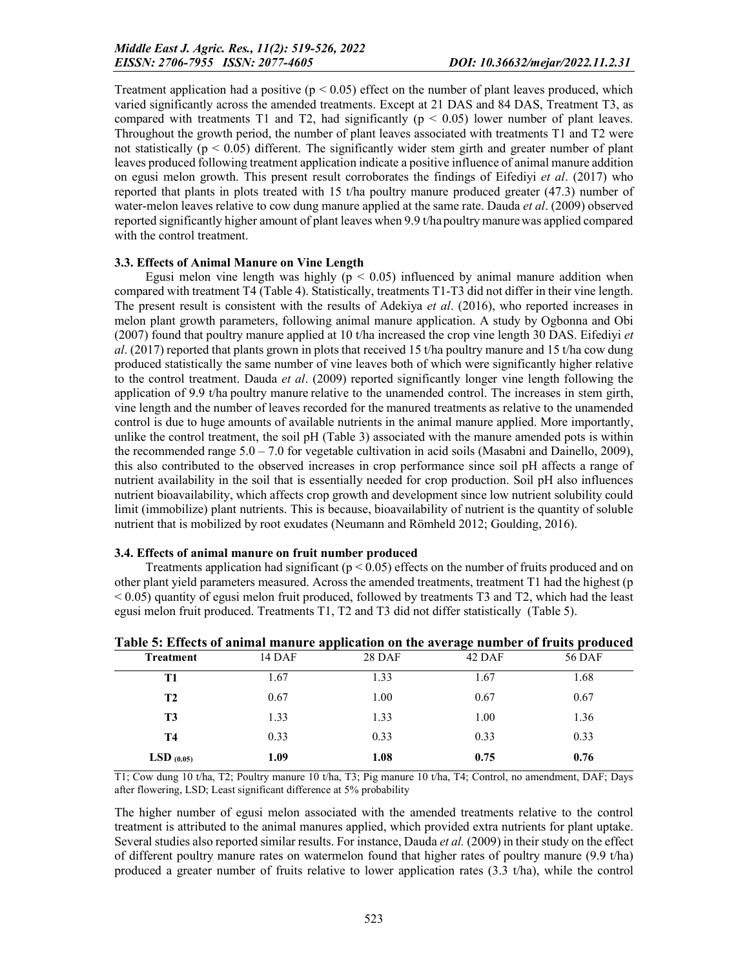Treatment application had a positive ( $p < 0.05$ ) effect on the number of plant leaves produced, which varied significantly across the amended treatments. Except at 21 DAS and 84 DAS, Treatment T3, as compared with treatments T1 and T2, had significantly ( $p < 0.05$ ) lower number of plant leaves. Throughout the growth period, the number of plant leaves associated with treatments T1 and T2 were not statistically  $(p < 0.05)$  different. The significantly wider stem girth and greater number of plant leaves produced following treatment application indicate a positive influence of animal manure addition on egusi melon growth. This present result corroborates the findings of Eifediyi *et al*. (2017) who reported that plants in plots treated with 15 t/ha poultry manure produced greater (47.3) number of water-melon leaves relative to cow dung manure applied at the same rate. Dauda *et al*. (2009) observed reported significantly higher amount of plant leaves when 9.9 t/hapoultry manurewas applied compared with the control treatment.

#### 3.3. Effects of Animal Manure on Vine Length

Egusi melon vine length was highly ( $p < 0.05$ ) influenced by animal manure addition when compared with treatment T4 (Table 4). Statistically, treatments T1-T3 did not differ in their vine length. The present result is consistent with the results of Adekiya *et al*. (2016), who reported increases in melon plant growth parameters, following animal manure application. A study by Ogbonna and Obi (2007) found that poultry manure applied at 10 t/ha increased the crop vine length 30 DAS. Eifediyi *et al*. (2017) reported that plants grown in plots that received 15 t/ha poultry manure and 15 t/ha cow dung produced statistically the same number of vine leaves both of which were significantly higher relative to the control treatment. Dauda *et al*. (2009) reported significantly longer vine length following the application of 9.9 t/ha poultry manure relative to the unamended control. The increases in stem girth, vine length and the number of leaves recorded for the manured treatments as relative to the unamended control is due to huge amounts of available nutrients in the animal manure applied. More importantly, unlike the control treatment, the soil pH (Table 3) associated with the manure amended pots is within the recommended range  $5.0 - 7.0$  for vegetable cultivation in acid soils (Masabni and Dainello, 2009), this also contributed to the observed increases in crop performance since soil pH affects a range of nutrient availability in the soil that is essentially needed for crop production. Soil pH also influences nutrient bioavailability, which affects crop growth and development since low nutrient solubility could limit (immobilize) plant nutrients. This is because, bioavailability of nutrient is the quantity of soluble nutrient that is mobilized by root exudates (Neumann and Römheld 2012; Goulding, 2016).

#### 3.4. Effects of animal manure on fruit number produced

Treatments application had significant ( $p < 0.05$ ) effects on the number of fruits produced and on other plant yield parameters measured. Across the amended treatments, treatment T1 had the highest (p < 0.05) quantity of egusi melon fruit produced, followed by treatments T3 and T2, which had the least egusi melon fruit produced. Treatments T1, T2 and T3 did not differ statistically (Table 5).

| Taoit of Effects of annihar manary application on the average number of it and proudeed |        |               |        |        |
|-----------------------------------------------------------------------------------------|--------|---------------|--------|--------|
| <b>Treatment</b>                                                                        | 14 DAF | <b>28 DAF</b> | 42 DAF | 56 DAF |
| <b>T1</b>                                                                               | 1.67   | 1.33          | 1.67   | 1.68   |
| <b>T2</b>                                                                               | 0.67   | 1.00          | 0.67   | 0.67   |
| T3                                                                                      | 1.33   | 1.33          | 1.00   | 1.36   |
| Т4                                                                                      | 0.33   | 0.33          | 0.33   | 0.33   |
| $LSD$ (0.05)                                                                            | 1.09   | 1.08          | 0.75   | 0.76   |
|                                                                                         |        |               |        |        |

Table 5: Effects of animal manure application on the average number of fruits produced

T1; Cow dung 10 t/ha, T2; Poultry manure 10 t/ha, T3; Pig manure 10 t/ha, T4; Control, no amendment, DAF; Days after flowering, LSD; Least significant difference at 5% probability

The higher number of egusi melon associated with the amended treatments relative to the control treatment is attributed to the animal manures applied, which provided extra nutrients for plant uptake. Several studies also reported similar results. For instance, Dauda *et al.* (2009) in their study on the effect of different poultry manure rates on watermelon found that higher rates of poultry manure (9.9 t/ha) produced a greater number of fruits relative to lower application rates (3.3 t/ha), while the control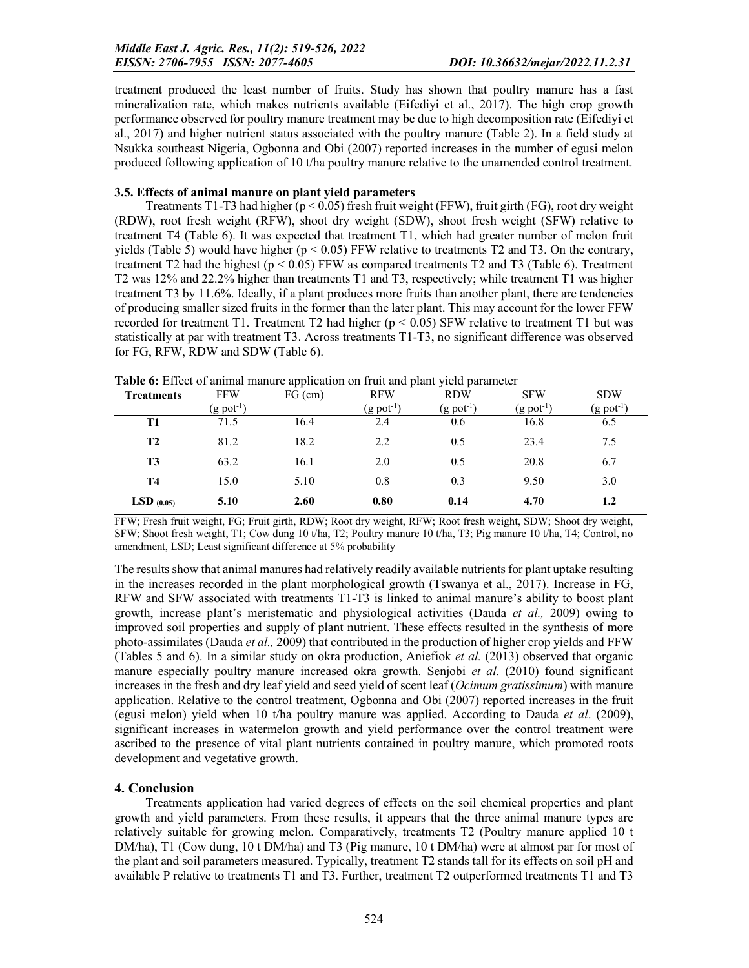treatment produced the least number of fruits. Study has shown that poultry manure has a fast mineralization rate, which makes nutrients available (Eifediyi et al., 2017). The high crop growth performance observed for poultry manure treatment may be due to high decomposition rate (Eifediyi et al., 2017) and higher nutrient status associated with the poultry manure (Table 2). In a field study at Nsukka southeast Nigeria, Ogbonna and Obi (2007) reported increases in the number of egusi melon produced following application of 10 t/ha poultry manure relative to the unamended control treatment.

### 3.5. Effects of animal manure on plant yield parameters

Treatments T1-T3 had higher (p < 0.05) fresh fruit weight (FFW), fruit girth (FG), root dry weight (RDW), root fresh weight (RFW), shoot dry weight (SDW), shoot fresh weight (SFW) relative to treatment T4 (Table 6). It was expected that treatment T1, which had greater number of melon fruit yields (Table 5) would have higher ( $p < 0.05$ ) FFW relative to treatments T2 and T3. On the contrary, treatment T2 had the highest ( $p < 0.05$ ) FFW as compared treatments T2 and T3 (Table 6). Treatment T2 was 12% and 22.2% higher than treatments T1 and T3, respectively; while treatment T1 was higher treatment T3 by 11.6%. Ideally, if a plant produces more fruits than another plant, there are tendencies of producing smaller sized fruits in the former than the later plant. This may account for the lower FFW recorded for treatment T1. Treatment T2 had higher (p < 0.05) SFW relative to treatment T1 but was statistically at par with treatment T3. Across treatments T1-T3, no significant difference was observed for FG, RFW, RDW and SDW (Table 6).

| <b>FFW</b>             | $FG$ (cm) | <b>RFW</b>        | <b>RDW</b>               | <b>SFW</b>             | <b>SDW</b>               |
|------------------------|-----------|-------------------|--------------------------|------------------------|--------------------------|
| $(g \text{ pot}^{-1})$ |           | $(g$ pot $^{-1})$ | $(g$ pot <sup>-1</sup> ) | $(g$ pot <sup>-1</sup> | $(g$ pot <sup>-1</sup> ) |
| 71.5                   | 16.4      | 2.4               | 0.6                      | 16.8                   | 6.5                      |
| 81.2                   | 18.2      | 2.2               | 0.5                      | 23.4                   | 7.5                      |
| 63.2                   | 16.1      | 2.0               | 0.5                      | 20.8                   | 6.7                      |
| 15.0                   | 5.10      | 0.8               | 0.3                      | 9.50                   | 3.0                      |
| 5.10                   | 2.60      | 0.80              | 0.14                     | 4.70                   | 1.2                      |
|                        |           |                   |                          |                        |                          |

Table 6: Effect of animal manure application on fruit and plant yield parameter

FFW; Fresh fruit weight, FG; Fruit girth, RDW; Root dry weight, RFW; Root fresh weight, SDW; Shoot dry weight, SFW; Shoot fresh weight, T1; Cow dung 10 t/ha, T2; Poultry manure 10 t/ha, T3; Pig manure 10 t/ha, T4; Control, no amendment, LSD; Least significant difference at 5% probability

The results show that animal manures had relatively readily available nutrients for plant uptake resulting in the increases recorded in the plant morphological growth (Tswanya et al., 2017). Increase in FG, RFW and SFW associated with treatments T1-T3 is linked to animal manure's ability to boost plant growth, increase plant's meristematic and physiological activities (Dauda *et al.,* 2009) owing to improved soil properties and supply of plant nutrient. These effects resulted in the synthesis of more photo-assimilates (Dauda *et al.,* 2009) that contributed in the production of higher crop yields and FFW (Tables 5 and 6). In a similar study on okra production, Aniefiok *et al.* (2013) observed that organic manure especially poultry manure increased okra growth. Senjobi *et al*. (2010) found significant increases in the fresh and dry leaf yield and seed yield of scent leaf (*Ocimum gratissimum*) with manure application. Relative to the control treatment, Ogbonna and Obi (2007) reported increases in the fruit (egusi melon) yield when 10 t/ha poultry manure was applied. According to Dauda *et al*. (2009), significant increases in watermelon growth and yield performance over the control treatment were ascribed to the presence of vital plant nutrients contained in poultry manure, which promoted roots development and vegetative growth.

## 4. Conclusion

Treatments application had varied degrees of effects on the soil chemical properties and plant growth and yield parameters. From these results, it appears that the three animal manure types are relatively suitable for growing melon. Comparatively, treatments T2 (Poultry manure applied 10 t DM/ha), T1 (Cow dung, 10 t DM/ha) and T3 (Pig manure, 10 t DM/ha) were at almost par for most of the plant and soil parameters measured. Typically, treatment T2 stands tall for its effects on soil pH and available P relative to treatments T1 and T3. Further, treatment T2 outperformed treatments T1 and T3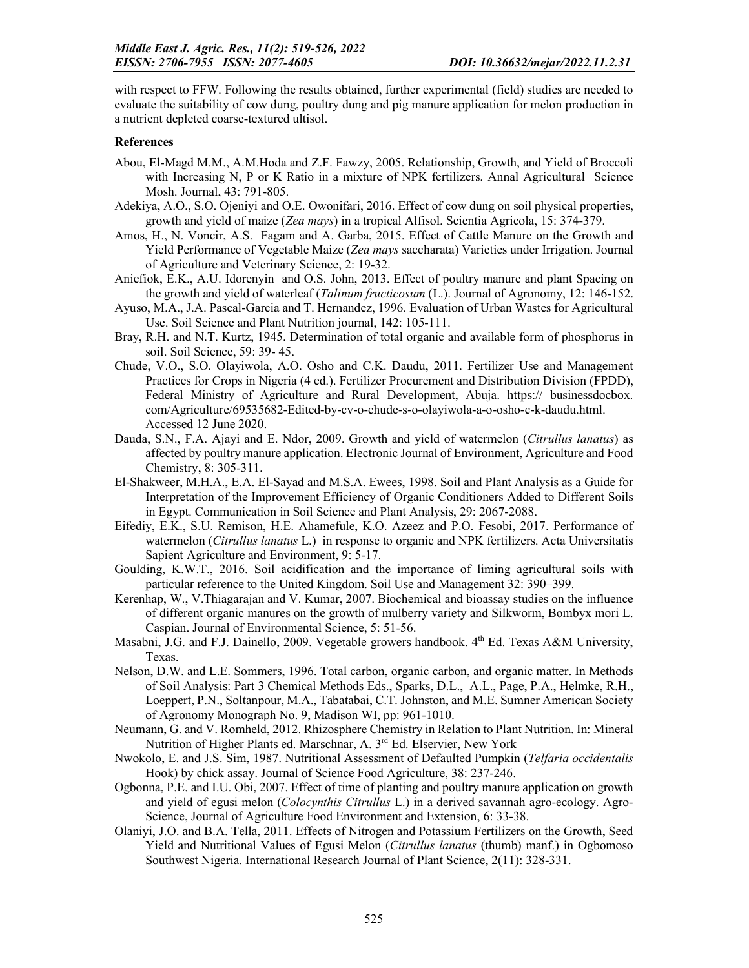with respect to FFW. Following the results obtained, further experimental (field) studies are needed to evaluate the suitability of cow dung, poultry dung and pig manure application for melon production in a nutrient depleted coarse-textured ultisol.

#### **References**

- Abou, El-Magd M.M., A.M.Hoda and Z.F. Fawzy, 2005. Relationship, Growth, and Yield of Broccoli with Increasing N, P or K Ratio in a mixture of NPK fertilizers. Annal Agricultural Science Mosh. Journal, 43: 791-805.
- Adekiya, A.O., S.O. Ojeniyi and O.E. Owonifari, 2016. Effect of cow dung on soil physical properties, growth and yield of maize (*Zea mays*) in a tropical Alfisol. Scientia Agricola, 15: 374-379.
- Amos, H., N. Voncir, A.S. Fagam and A. Garba, 2015. Effect of Cattle Manure on the Growth and Yield Performance of Vegetable Maize (*Zea mays* saccharata) Varieties under Irrigation. Journal of Agriculture and Veterinary Science, 2: 19-32.
- Aniefiok, E.K., A.U. Idorenyin and O.S. John, 2013. Effect of poultry manure and plant Spacing on the growth and yield of waterleaf (*Talinum fructicosum* (L.). Journal of Agronomy, 12: 146-152.
- Ayuso, M.A., J.A. Pascal-Garcia and T. Hernandez, 1996. Evaluation of Urban Wastes for Agricultural Use. Soil Science and Plant Nutrition journal, 142: 105-111.
- Bray, R.H. and N.T. Kurtz, 1945. Determination of total organic and available form of phosphorus in soil. Soil Science, 59: 39- 45.
- Chude, V.O., S.O. Olayiwola, A.O. Osho and C.K. Daudu, 2011. Fertilizer Use and Management Practices for Crops in Nigeria (4 ed.). Fertilizer Procurement and Distribution Division (FPDD), Federal Ministry of Agriculture and Rural Development, Abuja. https:// businessdocbox. com/Agriculture/69535682-Edited-by-cv-o-chude-s-o-olayiwola-a-o-osho-c-k-daudu.html. Accessed 12 June 2020.
- Dauda, S.N., F.A. Ajayi and E. Ndor, 2009. Growth and yield of watermelon (*Citrullus lanatus*) as affected by poultry manure application. Electronic Journal of Environment, Agriculture and Food Chemistry, 8: 305-311.
- El-Shakweer, M.H.A., E.A. El-Sayad and M.S.A. Ewees, 1998. Soil and Plant Analysis as a Guide for Interpretation of the Improvement Efficiency of Organic Conditioners Added to Different Soils in Egypt. Communication in Soil Science and Plant Analysis, 29: 2067-2088.
- Eifediy, E.K., S.U. Remison, H.E. Ahamefule, K.O. Azeez and P.O. Fesobi, 2017. Performance of watermelon (*Citrullus lanatus* L.) in response to organic and NPK fertilizers. Acta Universitatis Sapient Agriculture and Environment, 9: 5-17.
- Goulding, K.W.T., 2016. Soil acidification and the importance of liming agricultural soils with particular reference to the United Kingdom. Soil Use and Management 32: 390–399.
- Kerenhap, W., V.Thiagarajan and V. Kumar, 2007. Biochemical and bioassay studies on the influence of different organic manures on the growth of mulberry variety and Silkworm, Bombyx mori L. Caspian. Journal of Environmental Science, 5: 51-56.
- Masabni, J.G. and F.J. Dainello, 2009. Vegetable growers handbook. 4<sup>th</sup> Ed. Texas A&M University, Texas.
- Nelson, D.W. and L.E. Sommers, 1996. Total carbon, organic carbon, and organic matter. In Methods of Soil Analysis: Part 3 Chemical Methods Eds., Sparks, D.L., A.L., Page, P.A., Helmke, R.H., Loeppert, P.N., Soltanpour, M.A., Tabatabai, C.T. Johnston, and M.E. Sumner American Society of Agronomy Monograph No. 9, Madison WI, pp: 961-1010.
- Neumann, G. and V. Romheld, 2012. Rhizosphere Chemistry in Relation to Plant Nutrition. In: Mineral Nutrition of Higher Plants ed. Marschnar, A. 3<sup>rd</sup> Ed. Elservier, New York
- Nwokolo, E. and J.S. Sim, 1987. Nutritional Assessment of Defaulted Pumpkin (*Telfaria occidentalis* Hook) by chick assay. Journal of Science Food Agriculture, 38: 237-246.
- Ogbonna, P.E. and I.U. Obi, 2007. Effect of time of planting and poultry manure application on growth and yield of egusi melon (*Colocynthis Citrullus* L.) in a derived savannah agro-ecology. Agro-Science, Journal of Agriculture Food Environment and Extension, 6: 33-38.
- Olaniyi, J.O. and B.A. Tella, 2011. Effects of Nitrogen and Potassium Fertilizers on the Growth, Seed Yield and Nutritional Values of Egusi Melon (*Citrullus lanatus* (thumb) manf.) in Ogbomoso Southwest Nigeria. International Research Journal of Plant Science, 2(11): 328-331.